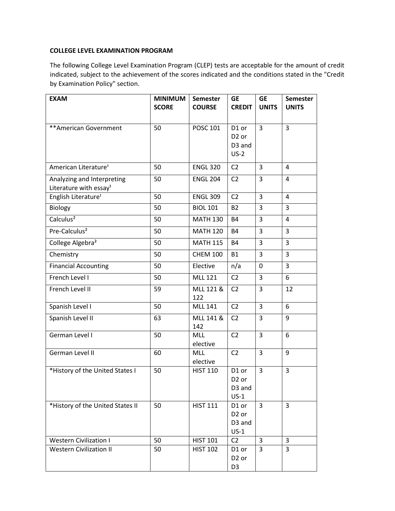## **COLLEGE LEVEL EXAMINATION PROGRAM**

The following College Level Examination Program (CLEP) tests are acceptable for the amount of credit indicated, subject to the achievement of the scores indicated and the conditions stated in the "Credit by Examination Policy" section.

| <b>EXAM</b>                                                      | <b>MINIMUM</b><br><b>SCORE</b> | <b>Semester</b><br><b>COURSE</b> | <b>GE</b><br><b>CREDIT</b>                                 | <b>GE</b><br><b>UNITS</b> | <b>Semester</b><br><b>UNITS</b> |
|------------------------------------------------------------------|--------------------------------|----------------------------------|------------------------------------------------------------|---------------------------|---------------------------------|
| ** American Government                                           | 50                             | <b>POSC 101</b>                  | D1 or<br>D <sub>2</sub> or<br>D <sub>3</sub> and<br>$US-2$ | $\overline{3}$            | $\overline{3}$                  |
| American Literature <sup>1</sup>                                 | 50                             | <b>ENGL 320</b>                  | C <sub>2</sub>                                             | 3                         | 4                               |
| Analyzing and Interpreting<br>Literature with essay <sup>1</sup> | 50                             | <b>ENGL 204</b>                  | C <sub>2</sub>                                             | 3                         | 4                               |
| English Literature <sup>1</sup>                                  | 50                             | <b>ENGL 309</b>                  | C <sub>2</sub>                                             | 3                         | 4                               |
| Biology                                                          | 50                             | <b>BIOL 101</b>                  | <b>B2</b>                                                  | 3                         | 3                               |
| Calculus <sup>2</sup>                                            | 50                             | <b>MATH 130</b>                  | <b>B4</b>                                                  | 3                         | 4                               |
| Pre-Calculus <sup>2</sup>                                        | 50                             | <b>MATH 120</b>                  | <b>B4</b>                                                  | 3                         | 3                               |
| College Algebra <sup>2</sup>                                     | 50                             | <b>MATH 115</b>                  | <b>B4</b>                                                  | 3                         | 3                               |
| Chemistry                                                        | 50                             | <b>CHEM 100</b>                  | <b>B1</b>                                                  | 3                         | 3                               |
| <b>Financial Accounting</b>                                      | 50                             | Elective                         | n/a                                                        | 0                         | 3                               |
| French Level I                                                   | 50                             | <b>MLL 121</b>                   | C <sub>2</sub>                                             | 3                         | 6                               |
| French Level II                                                  | 59                             | MLL 121 &<br>122                 | C <sub>2</sub>                                             | 3                         | 12                              |
| Spanish Level I                                                  | 50                             | <b>MLL 141</b>                   | C <sub>2</sub>                                             | 3                         | 6                               |
| Spanish Level II                                                 | 63                             | MLL 141 &<br>142                 | C <sub>2</sub>                                             | 3                         | 9                               |
| German Level I                                                   | 50                             | <b>MLL</b><br>elective           | C <sub>2</sub>                                             | 3                         | 6                               |
| German Level II                                                  | 60                             | MLL<br>elective                  | C <sub>2</sub>                                             | 3                         | 9                               |
| *History of the United States I                                  | 50                             | <b>HIST 110</b>                  | D1 or<br>D <sub>2</sub> or<br>D <sub>3</sub> and<br>$US-1$ | 3                         | 3                               |
| *History of the United States II                                 | 50                             | <b>HIST 111</b>                  | D1 or<br>D <sub>2</sub> or<br>D3 and<br>$US-1$             | $\overline{3}$            | 3                               |
| <b>Western Civilization I</b>                                    | 50                             | <b>HIST 101</b>                  | C <sub>2</sub>                                             | $\overline{3}$            | 3                               |
| <b>Western Civilization II</b>                                   | 50                             | <b>HIST 102</b>                  | D1 or<br>D <sub>2</sub> or<br>D <sub>3</sub>               | $\overline{3}$            | $\overline{3}$                  |